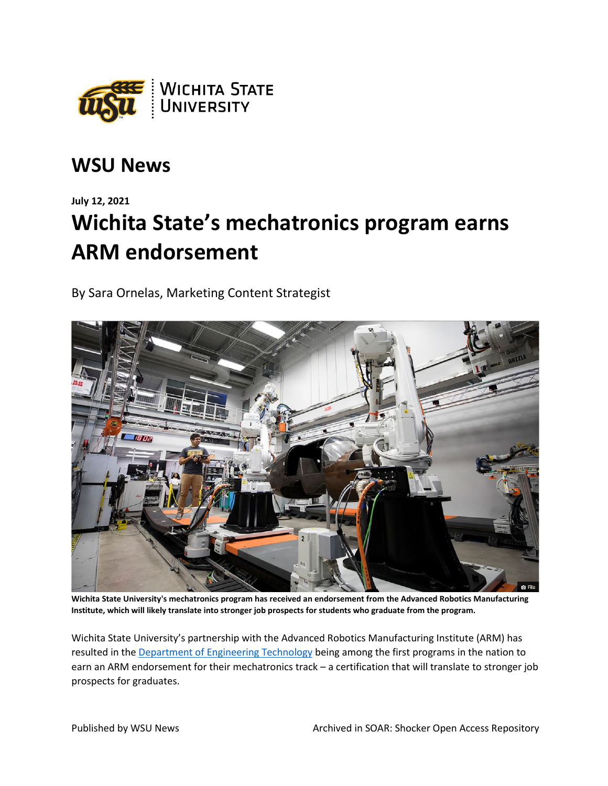

## **WSU News**

## **July 12, 2021 Wichita State's mechatronics program earns ARM endorsement**

By Sara Ornelas, Marketing Content Strategist



**Wichita State University's mechatronics program has received an endorsement from the Advanced Robotics Manufacturing Institute, which will likely translate into stronger job prospects for students who graduate from the program.**

Wichita State University's partnership with the Advanced Robotics Manufacturing Institute (ARM) has resulted in th[e Department of Engineering Technology](https://www.wichita.edu/academics/engineering/engineeringtech/mechatronics.php) being among the first programs in the nation to earn an ARM endorsement for their mechatronics track – a certification that will translate to stronger job prospects for graduates.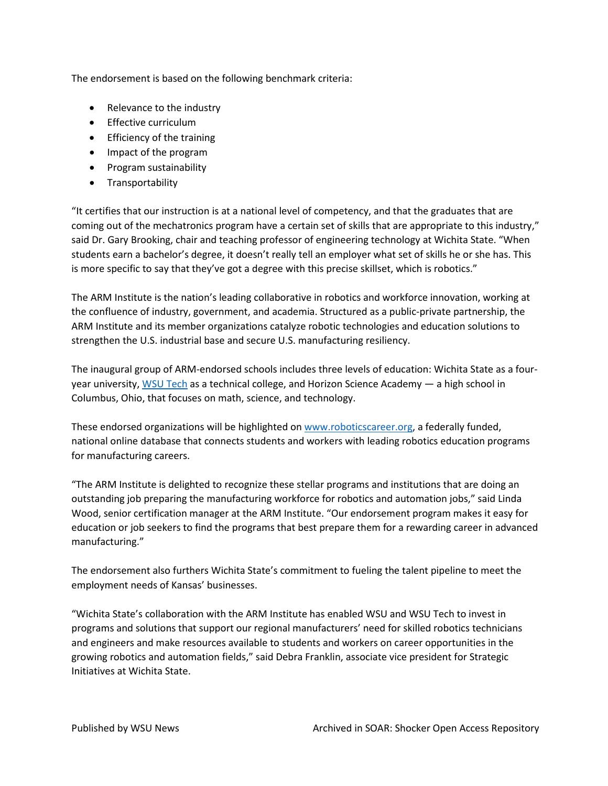The endorsement is based on the following benchmark criteria:

- Relevance to the industry
- Effective curriculum
- Efficiency of the training
- Impact of the program
- Program sustainability
- Transportability

"It certifies that our instruction is at a national level of competency, and that the graduates that are coming out of the mechatronics program have a certain set of skills that are appropriate to this industry," said Dr. Gary Brooking, chair and teaching professor of engineering technology at Wichita State. "When students earn a bachelor's degree, it doesn't really tell an employer what set of skills he or she has. This is more specific to say that they've got a degree with this precise skillset, which is robotics."

The ARM Institute is the nation's leading collaborative in robotics and workforce innovation, working at the confluence of industry, government, and academia. Structured as a public-private partnership, the ARM Institute and its member organizations catalyze robotic technologies and education solutions to strengthen the U.S. industrial base and secure U.S. manufacturing resiliency.

The inaugural group of ARM-endorsed schools includes three levels of education: Wichita State as a fouryear university, [WSU Tech](https://wsutech.edu/) as a technical college, and Horizon Science Academy — a high school in Columbus, Ohio, that focuses on math, science, and technology.

These endorsed organizations will be highlighted on www.roboticscareer.org, a federally funded, national online database that connects students and workers with leading robotics education programs for manufacturing careers.

"The ARM Institute is delighted to recognize these stellar programs and institutions that are doing an outstanding job preparing the manufacturing workforce for robotics and automation jobs," said Linda Wood, senior certification manager at the ARM Institute. "Our endorsement program makes it easy for education or job seekers to find the programs that best prepare them for a rewarding career in advanced manufacturing."

The endorsement also furthers Wichita State's commitment to fueling the talent pipeline to meet the employment needs of Kansas' businesses.

"Wichita State's collaboration with the ARM Institute has enabled WSU and WSU Tech to invest in programs and solutions that support our regional manufacturers' need for skilled robotics technicians and engineers and make resources available to students and workers on career opportunities in the growing robotics and automation fields," said Debra Franklin, associate vice president for Strategic Initiatives at Wichita State.